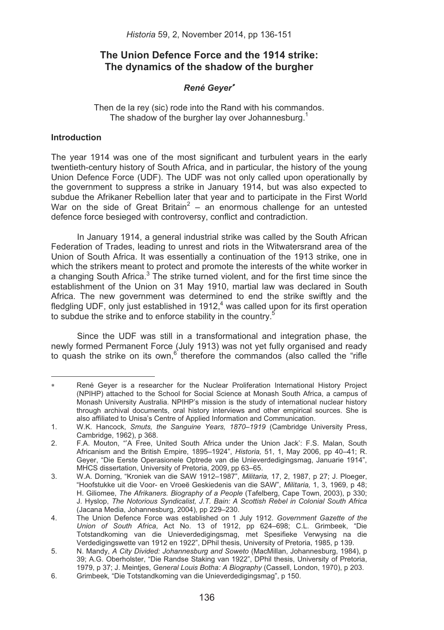# **The Union Defence Force and the 1914 strike: The dynamics of the shadow of the burgher**

# *René Geyer*

Then de la rey (sic) rode into the Rand with his commandos. The shadow of the burgher lay over Johannesburg.<sup>1</sup>

# **Introduction**

The year 1914 was one of the most significant and turbulent years in the early twentieth-century history of South Africa, and in particular, the history of the young Union Defence Force (UDF). The UDF was not only called upon operationally by the government to suppress a strike in January 1914, but was also expected to subdue the Afrikaner Rebellion later that year and to participate in the First World War on the side of Great Britain<sup>2</sup> – an enormous challenge for an untested defence force besieged with controversy, conflict and contradiction.

In January 1914, a general industrial strike was called by the South African Federation of Trades, leading to unrest and riots in the Witwatersrand area of the Union of South Africa. It was essentially a continuation of the 1913 strike, one in which the strikers meant to protect and promote the interests of the white worker in a changing South Africa.<sup>3</sup> The strike turned violent, and for the first time since the establishment of the Union on 31 May 1910, martial law was declared in South Africa. The new government was determined to end the strike swiftly and the fledgling UDF, only just established in 1912, $4$  was called upon for its first operation to subdue the strike and to enforce stability in the country.<sup>5</sup>

Since the UDF was still in a transformational and integration phase, the newly formed Permanent Force (July 1913) was not yet fully organised and ready to quash the strike on its own, $6$  therefore the commandos (also called the "rifle

<sup>-</sup> René Geyer is a researcher for the Nuclear Proliferation International History Project (NPIHP) attached to the School for Social Science at Monash South Africa, a campus of Monash University Australia. NPIHP's mission is the study of international nuclear history through archival documents, oral history interviews and other empirical sources. She is also affiliated to Unisa's Centre of Applied Information and Communication.

<sup>1.</sup> W.K. Hancock, *Smuts, the Sanguine Years, 1870–1919* (Cambridge University Press, Cambridge, 1962), p 368.

<sup>2.</sup> F.A. Mouton, "'A Free, United South Africa under the Union Jack': F.S. Malan, South Africanism and the British Empire, 1895–1924", *Historia,* 51, 1, May 2006, pp 40–41; R. Geyer, "Die Eerste Operasionele Optrede van die Unieverdedigingsmag, Januarie 1914", MHCS dissertation, University of Pretoria, 2009, pp 63–65.

<sup>3.</sup> W.A. Dorning, "Kroniek van die SAW 1912–1987", *Militaria,* 17, 2, 1987, p 27; J. Ploeger, "Hoofstukke uit die Voor- en Vroeë Geskiedenis van die SAW", *Militaria,* 1, 3, 1969, p 48; H. Giliomee, *The Afrikaners. Biography of a People* (Tafelberg, Cape Town, 2003), p 330; J. Hyslop, *The Notorious Syndicalist, J.T. Bain: A Scottish Rebel in Colonial South Africa* (Jacana Media, Johannesburg, 2004), pp 229–230.

<sup>4.</sup> The Union Defence Force was established on 1 July 1912. *Government Gazette of the Union of South Africa*, Act No. 13 of 1912, pp 624–698; C.L. Grimbeek, "Die Totstandkoming van die Unieverdedigingsmag, met Spesifieke Verwysing na die Verdedigingswette van 1912 en 1922", DPhil thesis, University of Pretoria, 1985, p 139.

<sup>5.</sup> N. Mandy, *A City Divided: Johannesburg and Soweto* (MacMillan, Johannesburg, 1984), p 39; A.G. Oberholster, "Die Randse Staking van 1922", DPhil thesis, University of Pretoria, 1979, p 37; J. Meintjes, *General Louis Botha: A Biography* (Cassell, London, 1970), p 203.

<sup>6.</sup> Grimbeek*,* "Die Totstandkoming van die Unieverdedigingsmag", p 150.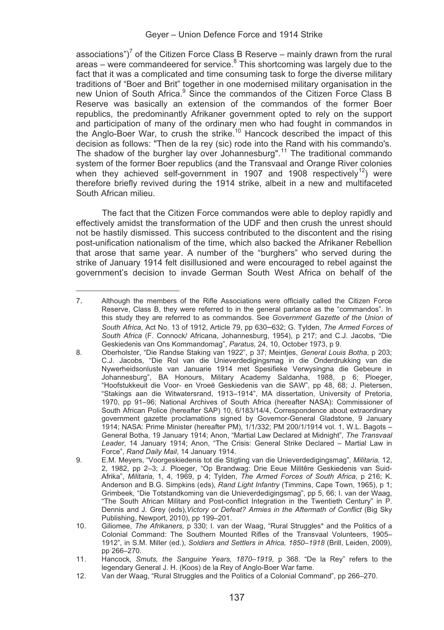associations")<sup>'</sup> of the Citizen Force Class B Reserve – mainly drawn from the rural areas – were commandeered for service.<sup>8</sup> This shortcoming was largely due to the fact that it was a complicated and time consuming task to forge the diverse military traditions of "Boer and Brit" together in one modernised military organisation in the new Union of South Africa.<sup>9</sup> Since the commandos of the Citizen Force Class B Reserve was basically an extension of the commandos of the former Boer republics, the predominantly Afrikaner government opted to rely on the support and participation of many of the ordinary men who had fought in commandos in<br>the Anglo-Boer War, to crush the strike.<sup>10</sup> Hancock described the impact of this decision as follows: "Then de la rey (sic) rode into the Rand with his commando's. The shadow of the burgher lay over Johannesburg".<sup>11</sup> The traditional commando system of the former Boer republics (and the Transvaal and Orange River colonies when they achieved self-government in 1907 and 1908 respectively<sup>12</sup>) were therefore briefly revived during the 1914 strike, albeit in a new and multifaceted South African milieu.

The fact that the Citizen Force commandos were able to deploy rapidly and effectively amidst the transformation of the UDF and then crush the unrest should not be hastily dismissed. This success contributed to the discontent and the rising post-unification nationalism of the time, which also backed the Afrikaner Rebellion that arose that same year. A number of the "burghers" who served during the strike of January 1914 felt disillusioned and were encouraged to rebel against the government's decision to invade German South West Africa on behalf of the

<sup>—</sup> 7. Although the members of the Rifle Associations were officially called the Citizen Force Reserve, Class B, they were referred to in the general parlance as the "commandos". In this study they are referred to as commandos. See *Government Gazette of the Union of South Africa*, Act No. 13 of 1912, Article 79, pp 630–632; G. Tylden, *The Armed Forces of South Africa* (F. Connock/ Africana, Johannesburg, 1954), p 217; and C.J. Jacobs, "Die Geskiedenis van Ons Kommandomag", *Paratus,* 24, 10, October 1973, p 9.

<sup>8.</sup> Oberholster, "Die Randse Staking van 1922", p 37; Meintjes, *General Louis Botha*, p 203; C.J. Jacobs, "Die Rol van die Unieverdedigingsmag in die Onderdrukking van die Nywerheidsonluste van Januarie 1914 met Spesifieke Verwysingna die Gebeure in Johannesburg", BA Honours, Military Academy Saldanha, 1988, p 6; Ploeger, "Hoofstukkeuit die Voor- en Vroeë Geskiedenis van die SAW", pp 48, 68; J. Pietersen, "Stakings aan die Witwatersrand, 1913–1914", MA dissertation, University of Pretoria, 1970, pp 91–96; National Archives of South Africa (hereafter NASA): Commissioner of South African Police (hereafter SAP) 10, 6/183/14/4, Correspondence about extraordinary government gazette proclamations signed by Governor-General Gladstone, 9 January 1914; NASA: Prime Minister (hereafter PM), 1/1/332; PM 200/1/1914 vol. 1, W.L. Bagots – General Botha, 19 January 1914; Anon, "Martial Law Declared at Midnight", *The Transvaal Leader*, 14 January 1914; Anon, "The Crisis: General Strike Declared – Martial Law in Force", *Rand Daily Mail*, 14 January 1914.

<sup>9.</sup> E.M. Meyers, "Voorgeskiedenis tot die Stigting van die Unieverdedigingsmag", *Militaria,* 12, 2, 1982, pp 2–3; J. Ploeger, "Op Brandwag: Drie Eeue Militêre Geskiedenis van Suid-Afrika", *Militaria,* 1, 4, 1969, p 4; Tylden, *The Armed Forces of South Africa*, p 216; K. Anderson and B.G. Simpkins (eds), *Rand Light Infantry* (Timmins, Cape Town, 1965), p 1; Grimbeek, "Die Totstandkoming van die Unieverdedigingsmag", pp 5, 66; I. van der Waag, "The South African Military and Post-conflict Integration in the Twentieth Century" in P. Dennis and J. Grey (eds),*Victory or Defeat? Armies in the Aftermath of Conflict* (Big Sky Publishing, Newport, 2010), pp 199–201.

<sup>10.</sup> Giliomee, *The Afrikaners,* p 330; I. van der Waag, "Rural Struggles\* and the Politics of a Colonial Command: The Southern Mounted Rifles of the Transvaal Volunteers, 1905– 1912", in S.M. Miller (ed.), *Soldiers and Settlers in Africa, 1850–1918* (Brill, Leiden, 2009), pp 266–270.

<sup>11.</sup> Hancock, *Smuts, the Sanguine Years, 1870*–*1919*, p 368. "De la Rey" refers to the legendary General J. H. (Koos) de la Rey of Anglo-Boer War fame.

<sup>12.</sup> Van der Waag, "Rural Struggles and the Politics of a Colonial Command", pp 266–270.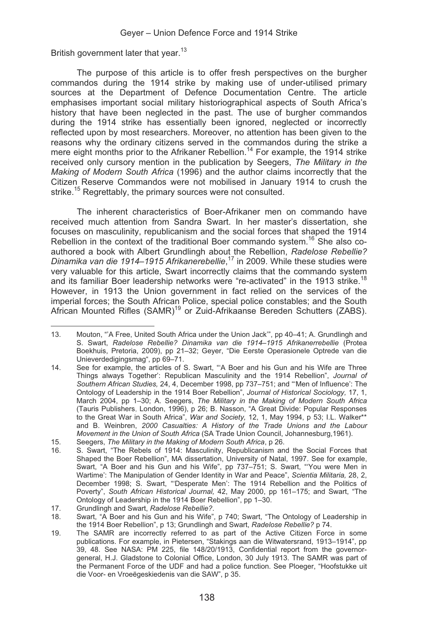British government later that year.<sup>13</sup>

The purpose of this article is to offer fresh perspectives on the burgher commandos during the 1914 strike by making use of under-utilised primary sources at the Department of Defence Documentation Centre. The article emphasises important social military historiographical aspects of South Africa's history that have been neglected in the past. The use of burgher commandos during the 1914 strike has essentially been ignored, neglected or incorrectly reflected upon by most researchers. Moreover, no attention has been given to the reasons why the ordinary citizens served in the commandos during the strike a mere eight months prior to the Afrikaner Rebellion.<sup>14</sup> For example, the 1914 strike received only cursory mention in the publication by Seegers, *The Military in the Making of Modern South Africa* (1996) and the author claims incorrectly that the Citizen Reserve Commandos were not mobilised in January 1914 to crush the strike.<sup>15</sup> Regrettably, the primary sources were not consulted.

The inherent characteristics of Boer-Afrikaner men on commando have received much attention from Sandra Swart. In her master's dissertation, she focuses on masculinity, republicanism and the social forces that shaped the 1914 Rebellion in the context of the traditional Boer commando system.<sup>16</sup> She also coauthored a book with Albert Grundlingh about the Rebellion, *Radelose Rebellie? Dinamika van die 1914*–*1915 Afrikanerebellie*, 17 in 2009. While these studies were very valuable for this article, Swart incorrectly claims that the commando system and its familiar Boer leadership networks were "re-activated" in the 1913 strike.<sup>18</sup> However, in 1913 the Union government in fact relied on the services of the imperial forces; the South African Police, special police constables; and the South African Mounted Rifles (SAMR)19 or Zuid-Afrikaanse Bereden Schutters (ZABS).

 $13$ Mouton, "'A Free, United South Africa under the Union Jack'", pp 40–41; A. Grundlingh and S. Swart, *Radelose Rebellie? Dinamika van die 1914–1915 Afrikanerrebellie* (Protea Boekhuis, Pretoria, 2009), pp 21–32; Geyer, "Die Eerste Operasionele Optrede van die Unieverdedigingsmag", pp 69–71.

<sup>14.</sup> See for example, the articles of S. Swart, "'A Boer and his Gun and his Wife are Three Things always Together': Republican Masculinity and the 1914 Rebellion", *Journal of Southern African Studies,* 24, 4, December 1998, pp 737–751; and "'Men of Influence': The Ontology of Leadership in the 1914 Boer Rebellion", *Journal of Historical Sociology,* 17, 1, March 2004, pp 1–30; A. Seegers, *The Military in the Making of Modern South Africa*  (Tauris Publishers, London, 1996), p 26; B. Nasson, "A Great Divide: Popular Responses to the Great War in South Africa", *War and Society,* 12, 1, May 1994, p 53; I.L. Walker\*\* and B. Weinbren, *2000 Casualties: A History of the Trade Unions and the Labour Movement in the Union of South Africa* (SA Trade Union Council, Johannesburg,1961).

<sup>15.</sup> Seegers, *The Military in the Making of Modern South Africa*, p 26.

<sup>16.</sup> S. Swart, "The Rebels of 1914: Masculinity, Republicanism and the Social Forces that Shaped the Boer Rebellion", MA dissertation, University of Natal, 1997. See for example, Swart, "A Boer and his Gun and his Wife", pp 737–751; S. Swart, "'You were Men in Wartime': The Manipulation of Gender Identity in War and Peace", *Scientia Militaria,* 28, 2, December 1998; S. Swart, "'Desperate Men': The 1914 Rebellion and the Politics of Poverty", *South African Historical Journal,* 42, May 2000, pp 161–175; and Swart, "The Ontology of Leadership in the 1914 Boer Rebellion", pp 1–30.

<sup>17.</sup> Grundlingh and Swart, *Radelose Rebellie?*.

<sup>18.</sup> Swart, "A Boer and his Gun and his Wife", p 740; Swart, "The Ontology of Leadership in the 1914 Boer Rebellion", p 13; Grundlingh and Swart, *Radelose Rebellie?* p 74.

<sup>19.</sup> The SAMR are incorrectly referred to as part of the Active Citizen Force in some publications. For example, in Pietersen, "Stakings aan die Witwatersrand, 1913–1914", pp 39, 48. See NASA: PM 225, file 148/20/1913, Confidential report from the governorgeneral, H.J. Gladstone to Colonial Office, London, 30 July 1913. The SAMR was part of the Permanent Force of the UDF and had a police function. See Ploeger, "Hoofstukke uit die Voor- en Vroeëgeskiedenis van die SAW", p 35.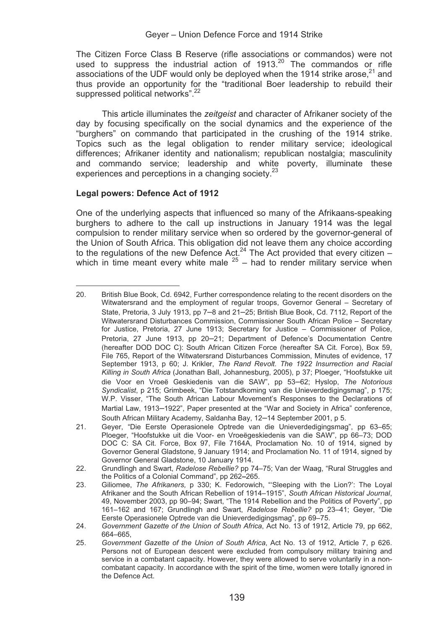The Citizen Force Class B Reserve (rifle associations or commandos) were not used to suppress the industrial action of 1913.<sup>20</sup> The commandos or rifle associations of the UDF would only be deployed when the 1914 strike arose, $21$  and thus provide an opportunity for the "traditional Boer leadership to rebuild their suppressed political networks".<sup>22</sup>

This article illuminates the *zeitgeist* and character of Afrikaner society of the day by focusing specifically on the social dynamics and the experience of the "burghers" on commando that participated in the crushing of the 1914 strike. Topics such as the legal obligation to render military service; ideological differences; Afrikaner identity and nationalism; republican nostalgia; masculinity and commando service; leadership and white poverty, illuminate these experiences and perceptions in a changing society.<sup>23</sup>

#### **Legal powers: Defence Act of 1912**

One of the underlying aspects that influenced so many of the Afrikaans-speaking burghers to adhere to the call up instructions in January 1914 was the legal compulsion to render military service when so ordered by the governor-general of the Union of South Africa. This obligation did not leave them any choice according to the regulations of the new Defence Act.<sup>24</sup> The Act provided that every citizen – which in time meant every white male  $25$  – had to render military service when

 $20<sup>1</sup>$ British Blue Book, Cd. 6942, Further correspondence relating to the recent disorders on the Witwatersrand and the employment of regular troops, Governor General – Secretary of State, Pretoria, 3 July 1913, pp 7–8 and 21–25; British Blue Book, Cd. 7112, Report of the Witwatersrand Disturbances Commission, Commissioner South African Police – Secretary for Justice, Pretoria, 27 June 1913; Secretary for Justice – Commissioner of Police, Pretoria, 27 June 1913, pp 20–21; Department of Defence's Documentation Centre (hereafter DOD DOC C): South African Citizen Force (hereafter SA Cit. Force), Box 59, File 765, Report of the Witwatersrand Disturbances Commission, Minutes of evidence, 17 September 1913, p 60; J. Krikler, *The Rand Revolt. The 1922 Insurrection and Racial Killing in South Africa* (Jonathan Ball, Johannesburg, 2005), p 37; Ploeger, "Hoofstukke uit die Voor en Vroeë Geskiedenis van die SAW", pp 53–62; Hyslop, *The Notorious Syndicalist*, p 215; Grimbeek, "Die Totstandkoming van die Unieverdedigingsmag", p 175; W.P. Visser, "The South African Labour Movement's Responses to the Declarations of Martial Law, 1913–1922", Paper presented at the "War and Society in Africa" conference, South African Military Academy, Saldanha Bay, 12–14 September 2001, p 5.

<sup>21.</sup> Geyer, "Die Eerste Operasionele Optrede van die Unieverdedigingsmag", pp 63–65; Ploeger, "Hoofstukke uit die Voor- en Vroeëgeskiedenis van die SAW", pp 66–73; DOD DOC C: SA Cit. Force, Box 97, File 7164A, Proclamation No. 10 of 1914, signed by Governor General Gladstone, 9 January 1914; and Proclamation No. 11 of 1914, signed by Governor General Gladstone, 10 January 1914.

<sup>22.</sup> Grundlingh and Swart, *Radelose Rebellie?* pp 74–75; Van der Waag, "Rural Struggles and the Politics of a Colonial Command", pp 262**–**265.

<sup>23.</sup> Giliomee, *The Afrikaners,* p 330; K. Fedorowich, "'Sleeping with the Lion?': The Loyal Afrikaner and the South African Rebellion of 1914–1915", *South African Historical Journal*, 49, November 2003, pp 90–94; Swart, "The 1914 Rebellion and the Politics of Poverty", pp 161–162 and 167; Grundlingh and Swart, *Radelose Rebellie?* pp 23–41; Geyer, "Die Eerste Operasionele Optrede van die Unieverdedigingsmag", pp 69–75.

<sup>24.</sup> *Government Gazette of the Union of South Africa*, Act No. 13 of 1912, Article 79, pp 662, 664–665,

<sup>25.</sup> *Government Gazette of the Union of South Africa*, Act No. 13 of 1912, Article 7, p 626. Persons not of European descent were excluded from compulsory military training and service in a combatant capacity. However, they were allowed to serve voluntarily in a noncombatant capacity. In accordance with the spirit of the time, women were totally ignored in the Defence Act.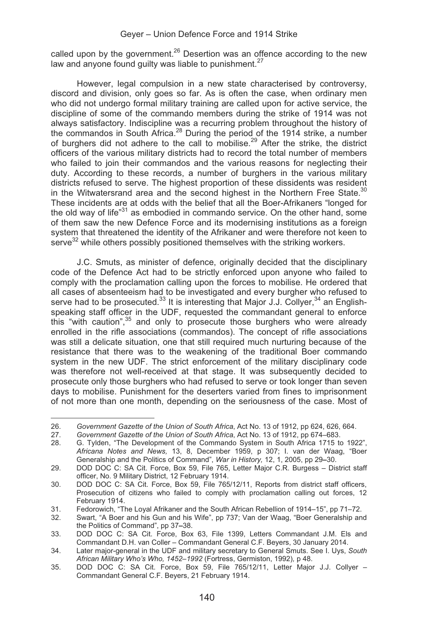called upon by the government.<sup>26</sup> Desertion was an offence according to the new law and anyone found guilty was liable to punishment.<sup>27</sup>

However, legal compulsion in a new state characterised by controversy, discord and division, only goes so far. As is often the case, when ordinary men who did not undergo formal military training are called upon for active service, the discipline of some of the commando members during the strike of 1914 was not always satisfactory. Indiscipline was a recurring problem throughout the history of the commandos in South Africa.<sup>28</sup> During the period of the 1914 strike, a number of burghers did not adhere to the call to mobilise.<sup>29</sup> After the strike, the district officers of the various military districts had to record the total number of members who failed to join their commandos and the various reasons for neglecting their duty. According to these records, a number of burghers in the various military districts refused to serve. The highest proportion of these dissidents was resident in the Witwatersrand area and the second highest in the Northern Free State.<sup>30</sup> These incidents are at odds with the belief that all the Boer-Afrikaners "longed for the old way of life $^{31}$  as embodied in commando service. On the other hand, some of them saw the new Defence Force and its modernising institutions as a foreign system that threatened the identity of the Afrikaner and were therefore not keen to serve<sup>32</sup> while others possibly positioned themselves with the striking workers.

 J.C. Smuts, as minister of defence, originally decided that the disciplinary code of the Defence Act had to be strictly enforced upon anyone who failed to comply with the proclamation calling upon the forces to mobilise. He ordered that all cases of absenteeism had to be investigated and every burgher who refused to serve had to be prosecuted.<sup>33</sup> It is interesting that Major J.J. Collyer,<sup>34</sup> an Englishspeaking staff officer in the UDF, requested the commandant general to enforce this "with caution",<sup>35</sup> and only to prosecute those burghers who were already enrolled in the rifle associations (commandos). The concept of rifle associations was still a delicate situation, one that still required much nurturing because of the resistance that there was to the weakening of the traditional Boer commando system in the new UDF. The strict enforcement of the military disciplinary code was therefore not well-received at that stage. It was subsequently decided to prosecute only those burghers who had refused to serve or took longer than seven days to mobilise. Punishment for the deserters varied from fines to imprisonment of not more than one month, depending on the seriousness of the case. Most of

<sup>26.</sup> 26. *Government Gazette of the Union of South Africa*, Act No. 13 of 1912, pp 624, 626, 664.

<sup>27.</sup> *Government Gazette of the Union of South Africa*, Act No. 13 of 1912, pp 674–683.

<sup>28.</sup> G. Tylden, "The Development of the Commando System in South Africa 1715 to 1922", *Africana Notes and News,* 13, 8, December 1959, p 307; I. van der Waag, "Boer Generalship and the Politics of Command", *War in History,* 12, 1, 2005, pp 29**–**30.

<sup>29.</sup> DOD DOC C: SA Cit. Force, Box 59, File 765, Letter Major C.R. Burgess – District staff officer, No. 9 Military District, 12 February 1914.

<sup>30.</sup> DOD DOC C: SA Cit. Force, Box 59, File 765/12/11, Reports from district staff officers, Prosecution of citizens who failed to comply with proclamation calling out forces, 12 February 1914.

<sup>31.</sup> Fedorowich, "The Loyal Afrikaner and the South African Rebellion of 1914–15", pp 71–72.<br>32. Swart "A Boer and his Gun and his Wife", pp 737: Van der Waag "Boer Generalship and

Swart, "A Boer and his Gun and his Wife", pp 737; Van der Waag, "Boer Generalship and the Politics of Command", pp 37**–**38.

<sup>33.</sup> DOD DOC C: SA Cit. Force, Box 63, File 1399, Letters Commandant J.M. Els and Commandant D.H. van Coller – Commandant General C.F. Beyers, 30 January 2014.

<sup>34.</sup> Later major-general in the UDF and military secretary to General Smuts. See I. Uys, *South African Military Who's Who, 1452*–*1992* (Fortress, Germiston, 1992)*,* p 48.

<sup>35.</sup> DOD DOC C: SA Cit. Force, Box 59, File 765/12/11, Letter Major J.J. Collyer – Commandant General C.F. Beyers, 21 February 1914.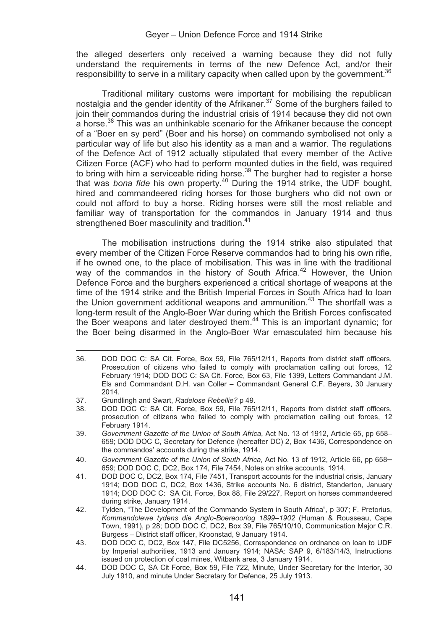#### Geyer – Union Defence Force and 1914 Strike

the alleged deserters only received a warning because they did not fully understand the requirements in terms of the new Defence Act, and/or their responsibility to serve in a military capacity when called upon by the government. $36$ 

 Traditional military customs were important for mobilising the republican nostalgia and the gender identity of the Afrikaner. $37$  Some of the burghers failed to join their commandos during the industrial crisis of 1914 because they did not own a horse.<sup>38</sup> This was an unthinkable scenario for the Afrikaner because the concept of a "Boer en sy perd" (Boer and his horse) on commando symbolised not only a particular way of life but also his identity as a man and a warrior. The regulations of the Defence Act of 1912 actually stipulated that every member of the Active Citizen Force (ACF) who had to perform mounted duties in the field, was required to bring with him a serviceable riding horse.<sup>39</sup> The burgher had to register a horse that was *bona fide* his own property.40 During the 1914 strike, the UDF bought, hired and commandeered riding horses for those burghers who did not own or could not afford to buy a horse. Riding horses were still the most reliable and familiar way of transportation for the commandos in January 1914 and thus strengthened Boer masculinity and tradition.<sup>41</sup>

 The mobilisation instructions during the 1914 strike also stipulated that every member of the Citizen Force Reserve commandos had to bring his own rifle, if he owned one, to the place of mobilisation. This was in line with the traditional way of the commandos in the history of South Africa.<sup>42</sup> However, the Union Defence Force and the burghers experienced a critical shortage of weapons at the time of the 1914 strike and the British Imperial Forces in South Africa had to loan the Union government additional weapons and ammunition. $43$  The shortfall was a long-term result of the Anglo-Boer War during which the British Forces confiscated the Boer weapons and later destroyed them.44 This is an important dynamic; for the Boer being disarmed in the Anglo-Boer War emasculated him because his

<sup>36.</sup> DOD DOC C: SA Cit. Force, Box 59, File 765/12/11, Reports from district staff officers, Prosecution of citizens who failed to comply with proclamation calling out forces, 12 February 1914; DOD DOC C: SA Cit. Force, Box 63, File 1399, Letters Commandant J.M. Els and Commandant D.H. van Coller – Commandant General C.F. Beyers, 30 January 2014.

<sup>37.</sup> Grundlingh and Swart, *Radelose Rebellie?* p 49.

DOD DOC C: SA Cit. Force, Box 59, File 765/12/11, Reports from district staff officers, prosecution of citizens who failed to comply with proclamation calling out forces, 12 February 1914.

<sup>39.</sup> *Government Gazette of the Union of South Africa*, Act No. 13 of 1912, Article 65, pp 658– 659; DOD DOC C, Secretary for Defence (hereafter DC) 2, Box 1436, Correspondence on the commandos' accounts during the strike, 1914.

<sup>40.</sup> *Government Gazette of the Union of South Africa*, Act No. 13 of 1912, Article 66, pp 658– 659; DOD DOC C, DC2, Box 174, File 7454, Notes on strike accounts, 1914.

<sup>41.</sup> DOD DOC C, DC2, Box 174, File 7451, Transport accounts for the industrial crisis, January 1914; DOD DOC C, DC2, Box 1436, Strike accounts No. 6 district, Standerton, January 1914; DOD DOC C: SA Cit. Force, Box 88, File 29/227, Report on horses commandeered during strike, January 1914.

<sup>42.</sup> Tylden, "The Development of the Commando System in South Africa"*,* p 307; F. Pretorius, *Kommandolewe tydens die Anglo-Boereoorlog 1899*–*1902* (Human & Rousseau, Cape Town, 1991), p 28; DOD DOC C, DC2, Box 39, File 765/10/10, Communication Major C.R. Burgess – District staff officer, Kroonstad, 9 January 1914.

<sup>43.</sup> DOD DOC C, DC2, Box 147, File DC5256, Correspondence on ordnance on loan to UDF by Imperial authorities, 1913 and January 1914; NASA: SAP 9, 6/183/14/3, Instructions issued on protection of coal mines, Witbank area, 3 January 1914.

<sup>44.</sup> DOD DOC C, SA Cit Force, Box 59, File 722, Minute, Under Secretary for the Interior, 30 July 1910, and minute Under Secretary for Defence, 25 July 1913.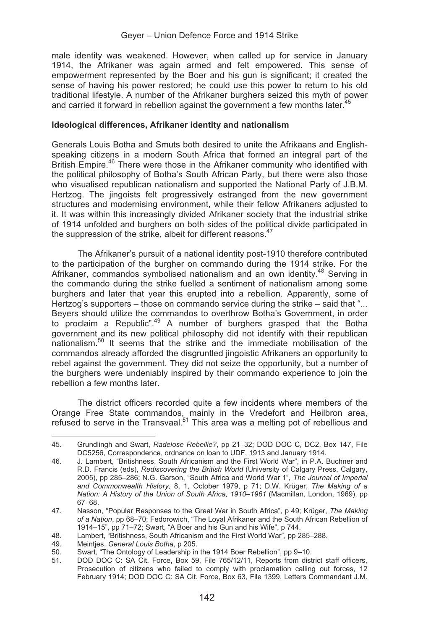male identity was weakened. However, when called up for service in January 1914, the Afrikaner was again armed and felt empowered. This sense of empowerment represented by the Boer and his gun is significant; it created the sense of having his power restored; he could use this power to return to his old traditional lifestyle. A number of the Afrikaner burghers seized this myth of power and carried it forward in rebellion against the government a few months later.<sup>2</sup>

## **Ideological differences, Afrikaner identity and nationalism**

Generals Louis Botha and Smuts both desired to unite the Afrikaans and Englishspeaking citizens in a modern South Africa that formed an integral part of the British Empire.<sup>46</sup> There were those in the Afrikaner community who identified with the political philosophy of Botha's South African Party, but there were also those who visualised republican nationalism and supported the National Party of J.B.M. Hertzog. The jingoists felt progressively estranged from the new government structures and modernising environment, while their fellow Afrikaners adjusted to it. It was within this increasingly divided Afrikaner society that the industrial strike of 1914 unfolded and burghers on both sides of the political divide participated in the suppression of the strike, albeit for different reasons. $47$ 

 The Afrikaner's pursuit of a national identity post-1910 therefore contributed to the participation of the burgher on commando during the 1914 strike. For the Afrikaner, commandos symbolised nationalism and an own identity.<sup>48</sup> Serving in the commando during the strike fuelled a sentiment of nationalism among some burghers and later that year this erupted into a rebellion. Apparently, some of Hertzog's supporters – those on commando service during the strike – said that "... Beyers should utilize the commandos to overthrow Botha's Government, in order to proclaim a Republic".49 A number of burghers grasped that the Botha government and its new political philosophy did not identify with their republican nationalism.50 It seems that the strike and the immediate mobilisation of the commandos already afforded the disgruntled jingoistic Afrikaners an opportunity to rebel against the government. They did not seize the opportunity, but a number of the burghers were undeniably inspired by their commando experience to join the rebellion a few months later.

The district officers recorded quite a few incidents where members of the Orange Free State commandos, mainly in the Vredefort and Heilbron area, refused to serve in the Transvaal. $51$  This area was a melting pot of rebellious and

<sup>45.</sup> 45. Grundlingh and Swart, *Radelose Rebellie?*, pp 21–32; DOD DOC C, DC2, Box 147, File DC5256, Correspondence, ordnance on loan to UDF, 1913 and January 1914.

<sup>46.</sup> J. Lambert, "Britishness, South Africanism and the First World War", in P.A. Buchner and R.D. Francis (eds), *Rediscovering the British World* (University of Calgary Press, Calgary, 2005), pp 285–286; N.G. Garson, "South Africa and World War 1", *The Journal of Imperial and Commonwealth History,* 8, 1, October 1979, p 71; D.W. Krüger, *The Making of a Nation: A History of the Union of South Africa, 1910*–*1961* (Macmillan, London, 1969), pp 67–68.

<sup>47.</sup> Nasson, "Popular Responses to the Great War in South Africa", p 49; Krüger, *The Making of a Nation*, pp 68–70; Fedorowich, "The Loyal Afrikaner and the South African Rebellion of 1914–15", pp 71–72; Swart, "A Boer and his Gun and his Wife", p 744.

<sup>48.</sup> Lambert, "Britishness, South Africanism and the First World War", pp 285–288.

<sup>49.</sup> Meintjes, *General Louis Botha*, p 205.

<sup>50.</sup> Swart, "The Ontology of Leadership in the 1914 Boer Rebellion", pp 9–10.<br>51. DOD DOC C: SA Cit. Force. Box 59. File 765/12/11. Reports from dist

DOD DOC C: SA Cit. Force, Box 59, File 765/12/11, Reports from district staff officers, Prosecution of citizens who failed to comply with proclamation calling out forces, 12 February 1914; DOD DOC C: SA Cit. Force, Box 63, File 1399, Letters Commandant J.M.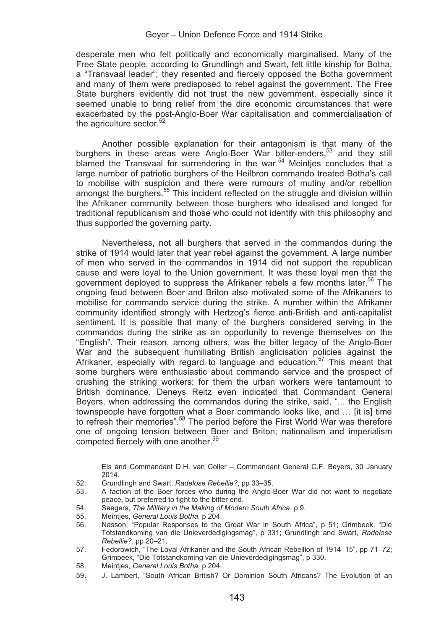#### Geyer – Union Defence Force and 1914 Strike

desperate men who felt politically and economically marginalised. Many of the Free State people, according to Grundlingh and Swart, felt little kinship for Botha, a "Transvaal leader"; they resented and fiercely opposed the Botha government and many of them were predisposed to rebel against the government. The Free State burghers evidently did not trust the new government, especially since it seemed unable to bring relief from the dire economic circumstances that were exacerbated by the post-Anglo-Boer War capitalisation and commercialisation of the agriculture sector.<sup>52</sup>

Another possible explanation for their antagonism is that many of the burghers in these areas were Anglo-Boer War bitter-enders.<sup>53</sup> and they still blamed the Transvaal for surrendering in the war.<sup>54</sup> Meintjes concludes that a large number of patriotic burghers of the Heilbron commando treated Botha's call to mobilise with suspicion and there were rumours of mutiny and/or rebellion amongst the burghers.<sup>55</sup> This incident reflected on the struggle and division within the Afrikaner community between those burghers who idealised and longed for traditional republicanism and those who could not identify with this philosophy and thus supported the governing party.

Nevertheless, not all burghers that served in the commandos during the strike of 1914 would later that year rebel against the government. A large number of men who served in the commandos in 1914 did not support the republican cause and were loyal to the Union government. It was these loyal men that the government deployed to suppress the Afrikaner rebels a few months later.<sup>56</sup> The ongoing feud between Boer and Briton also motivated some of the Afrikaners to mobilise for commando service during the strike. A number within the Afrikaner community identified strongly with Hertzog's fierce anti-British and anti-capitalist sentiment. It is possible that many of the burghers considered serving in the commandos during the strike as an opportunity to revenge themselves on the "English". Their reason, among others, was the bitter legacy of the Anglo-Boer War and the subsequent humiliating British anglicisation policies against the Afrikaner, especially with regard to language and education.57 This meant that some burghers were enthusiastic about commando service and the prospect of crushing the striking workers; for them the urban workers were tantamount to British dominance. Deneys Reitz even indicated that Commandant General Beyers, when addressing the commandos during the strike, said, "... the English townspeople have forgotten what a Boer commando looks like, and … [it is] time to refresh their memories".<sup>58</sup> The period before the First World War was therefore one of ongoing tension between Boer and Briton; nationalism and imperialism competed fiercely with one another.<sup>59</sup>

-

Els and Commandant D.H. van Coller – Commandant General C.F. Beyers, 30 January 2014.

<sup>52.</sup> Grundlingh and Swart, *Radelose Rebellie?*, pp 33–35.

<sup>53.</sup> A faction of the Boer forces who during the Anglo-Boer War did not want to negotiate peace, but preferred to fight to the bitter end.

<sup>54.</sup> Seegers, *The Military in the Making of Modern South Africa*, p 9.

<sup>55.</sup> Meintjes, *General Louis Botha*, p 204.

Nasson, "Popular Responses to the Great War in South Africa". p 51: Grimbeek. "Die Totstandkoming van die Unieverdedigingsmag", p 331; Grundlingh and Swart, *Radelose Rebellie?*, pp 20–21.

<sup>57.</sup> Fedorowich, "The Loyal Afrikaner and the South African Rebellion of 1914–15", pp 71–72; Grimbeek, "Die Totstandkoming van die Unieverdedigingsmag", p 330.

<sup>58.</sup> Meintjes, *General Louis Botha*, p 204.

<sup>59.</sup> J. Lambert, "South African British? Or Dominion South Africans? The Evolution of an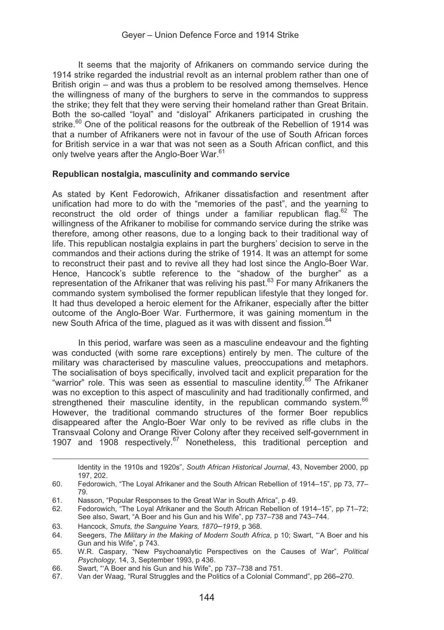It seems that the majority of Afrikaners on commando service during the 1914 strike regarded the industrial revolt as an internal problem rather than one of British origin – and was thus a problem to be resolved among themselves. Hence the willingness of many of the burghers to serve in the commandos to suppress the strike; they felt that they were serving their homeland rather than Great Britain. Both the so-called "loyal" and "disloyal" Afrikaners participated in crushing the strike. $60$  One of the political reasons for the outbreak of the Rebellion of 1914 was that a number of Afrikaners were not in favour of the use of South African forces for British service in a war that was not seen as a South African conflict, and this only twelve years after the Anglo-Boer War.<sup>61</sup>

#### **Republican nostalgia, masculinity and commando service**

As stated by Kent Fedorowich, Afrikaner dissatisfaction and resentment after unification had more to do with the "memories of the past", and the yearning to reconstruct the old order of things under a familiar republican flag.<sup>62</sup> The willingness of the Afrikaner to mobilise for commando service during the strike was therefore, among other reasons, due to a longing back to their traditional way of life. This republican nostalgia explains in part the burghers' decision to serve in the commandos and their actions during the strike of 1914. It was an attempt for some to reconstruct their past and to revive all they had lost since the Anglo-Boer War. Hence, Hancock's subtle reference to the "shadow of the burgher" as a representation of the Afrikaner that was reliving his past.<sup>63</sup> For many Afrikaners the commando system symbolised the former republican lifestyle that they longed for. It had thus developed a heroic element for the Afrikaner, especially after the bitter outcome of the Anglo-Boer War. Furthermore, it was gaining momentum in the new South Africa of the time, plagued as it was with dissent and fission.<sup>64</sup>

In this period, warfare was seen as a masculine endeavour and the fighting was conducted (with some rare exceptions) entirely by men. The culture of the military was characterised by masculine values, preoccupations and metaphors. The socialisation of boys specifically, involved tacit and explicit preparation for the "warrior" role. This was seen as essential to masculine identity.<sup>65</sup> The Afrikaner was no exception to this aspect of masculinity and had traditionally confirmed, and strengthened their masculine identity, in the republican commando system.<sup>66</sup> However, the traditional commando structures of the former Boer republics disappeared after the Anglo-Boer War only to be revived as rifle clubs in the Transvaal Colony and Orange River Colony after they received self-government in 1907 and 1908 respectively.<sup>67</sup> Nonetheless, this traditional perception and

Identity in the 1910s and 1920s", *South African Historical Journal*, 43, November 2000, pp 197, 202.

-

<sup>60.</sup> Fedorowich, "The Loyal Afrikaner and the South African Rebellion of 1914–15", pp 73, 77– 79.

<sup>61.</sup> Nasson, "Popular Responses to the Great War in South Africa", p 49.

<sup>62.</sup> Fedorowich, "The Loyal Afrikaner and the South African Rebellion of 1914–15", pp 71–72; See also, Swart, "A Boer and his Gun and his Wife", pp 737–738 and 743–744.

<sup>63.</sup> Hancock, *Smuts, the Sanguine Years, 1870*–*1919*, p 368.

<sup>64.</sup> Seegers, *The Military in the Making of Modern South Africa*, p 10; Swart, "'A Boer and his Gun and his Wife", p 743.

<sup>65.</sup> W.R. Caspary, "New Psychoanalytic Perspectives on the Causes of War", *Political Psychology,* 14, 3, September 1993, p 436.

<sup>66.</sup> Swart, "'A Boer and his Gun and his Wife", pp 737–738 and 751.

<sup>67.</sup> Van der Waag, "Rural Struggles and the Politics of a Colonial Command", pp 266**–**270.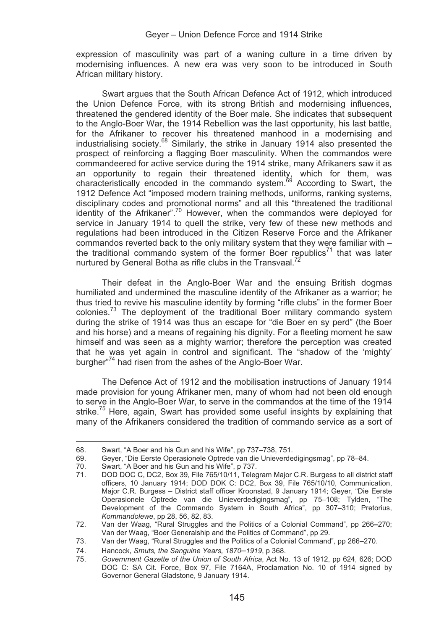expression of masculinity was part of a waning culture in a time driven by modernising influences. A new era was very soon to be introduced in South African military history.

Swart argues that the South African Defence Act of 1912, which introduced the Union Defence Force, with its strong British and modernising influences, threatened the gendered identity of the Boer male. She indicates that subsequent to the Anglo-Boer War, the 1914 Rebellion was the last opportunity, his last battle, for the Afrikaner to recover his threatened manhood in a modernising and industrialising society.<sup>68</sup> Similarly, the strike in January 1914 also presented the prospect of reinforcing a flagging Boer masculinity. When the commandos were commandeered for active service during the 1914 strike, many Afrikaners saw it as an opportunity to regain their threatened identity, which for them, was<br>characteristically encoded in the commando system.<sup>69</sup> According to Swart, the 1912 Defence Act "imposed modern training methods, uniforms, ranking systems, disciplinary codes and promotional norms" and all this "threatened the traditional identity of the Afrikaner".<sup>70</sup> However, when the commandos were deployed for service in January 1914 to quell the strike, very few of these new methods and regulations had been introduced in the Citizen Reserve Force and the Afrikaner commandos reverted back to the only military system that they were familiar with – the traditional commando system of the former Boer republics<sup>71</sup> that was later nurtured by General Botha as rifle clubs in the Transvaal.<sup>72</sup>

Their defeat in the Anglo-Boer War and the ensuing British dogmas humiliated and undermined the masculine identity of the Afrikaner as a warrior; he thus tried to revive his masculine identity by forming "rifle clubs" in the former Boer colonies.<sup>73</sup> The deployment of the traditional Boer military commando system during the strike of 1914 was thus an escape for "die Boer en sy perd" (the Boer and his horse) and a means of regaining his dignity. For a fleeting moment he saw himself and was seen as a mighty warrior; therefore the perception was created that he was yet again in control and significant. The "shadow of the 'mighty' burgher"74 had risen from the ashes of the Anglo-Boer War.

The Defence Act of 1912 and the mobilisation instructions of January 1914 made provision for young Afrikaner men, many of whom had not been old enough to serve in the Anglo-Boer War, to serve in the commandos at the time of the 1914 strike.<sup>75</sup> Here, again, Swart has provided some useful insights by explaining that many of the Afrikaners considered the tradition of commando service as a sort of

<sup>68.</sup> 68. Swart, "A Boer and his Gun and his Wife", pp 737–738, 751.

<sup>69.</sup> Geyer, "Die Eerste Operasionele Optrede van die Unieverdedigingsmag", pp 78–84.<br>70. Swart. "A Boer and his Gun and his Wife". p 737.

<sup>70.</sup> Swart, "A Boer and his Gun and his Wife", p 737.

<sup>71.</sup> DOD DOC C, DC2, Box 39, File 765/10/11, Telegram Major C.R. Burgess to all district staff officers, 10 January 1914; DOD DOK C: DC2, Box 39, File 765/10/10, Communication, Major C.R. Burgess – District staff officer Kroonstad, 9 January 1914; Geyer, "Die Eerste Operasionele Optrede van die Unieverdedigingsmag", pp 75–108; Tylden, "The Development of the Commando System in South Africa", pp 307–310; Pretorius, *Kommandolewe*, pp 28, 56, 82, 83.

<sup>72.</sup> Van der Waag, "Rural Struggles and the Politics of a Colonial Command", pp 266**–**270; Van der Waag, "Boer Generalship and the Politics of Command", pp 29.

<sup>73.</sup> Van der Waag, "Rural Struggles and the Politics of a Colonial Command", pp 266**–**270.

<sup>74.</sup> Hancock, *Smuts, the Sanguine Years, 1870*–*1919*, p 368.

<sup>75.</sup> *Government Gazette of the Union of South Africa*, Act No. 13 of 1912, pp 624, 626; DOD DOC C: SA Cit. Force, Box 97, File 7164A, Proclamation No. 10 of 1914 signed by Governor General Gladstone, 9 January 1914.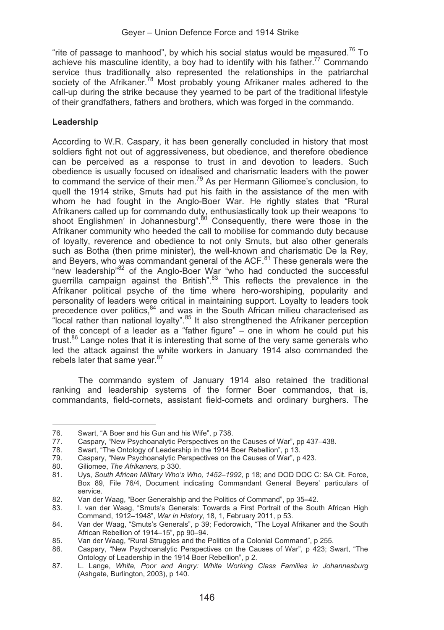"rite of passage to manhood", by which his social status would be measured.<sup>76</sup> To achieve his masculine identity, a boy had to identify with his father.<sup>77</sup> Commando service thus traditionally also represented the relationships in the patriarchal society of the Afrikaner.<sup>78</sup> Most probably young Afrikaner males adhered to the call-up during the strike because they yearned to be part of the traditional lifestyle of their grandfathers, fathers and brothers, which was forged in the commando.

## **Leadership**

According to W.R. Caspary, it has been generally concluded in history that most soldiers fight not out of aggressiveness, but obedience, and therefore obedience can be perceived as a response to trust in and devotion to leaders. Such obedience is usually focused on idealised and charismatic leaders with the power to command the service of their men.<sup>79</sup> As per Hermann Giliomee's conclusion, to quell the 1914 strike, Smuts had put his faith in the assistance of the men with whom he had fought in the Anglo-Boer War. He rightly states that "Rural" Afrikaners called up for commando duty, enthusiastically took up their weapons 'to shoot Englishmen' in Johannesburg".<sup>80</sup> Consequently, there were those in the Afrikaner community who heeded the call to mobilise for commando duty because of loyalty, reverence and obedience to not only Smuts, but also other generals such as Botha (then prime minister), the well-known and charismatic De la Rey, and Beyers, who was commandant general of the ACF.<sup>81</sup> These generals were the "new leadership"82 of the Anglo-Boer War "who had conducted the successful guerrilla campaign against the British".<sup>83</sup> This reflects the prevalence in the Afrikaner political psyche of the time where hero-worshiping, popularity and personality of leaders were critical in maintaining support. Loyalty to leaders took precedence over politics,<sup>84</sup> and was in the South African milieu characterised as "local rather than national loyalty".  $85$  It also strengthened the Afrikaner perception of the concept of a leader as a "father figure" – one in whom he could put his trust.<sup>86</sup> Lange notes that it is interesting that some of the very same generals who led the attack against the white workers in January 1914 also commanded the rebels later that same year. $87$ 

The commando system of January 1914 also retained the traditional ranking and leadership systems of the former Boer commandos, that is, commandants, field-cornets, assistant field-cornets and ordinary burghers. The

<sup>76.</sup> 76. Swart, "A Boer and his Gun and his Wife", p 738.<br>77. Caspary, "New Psychoanalytic Perspectives on the

<sup>77.</sup> Caspary, "New Psychoanalytic Perspectives on the Causes of War", pp 437–438.<br>78. Swart. "The Ontology of Leadership in the 1914 Boer Rebellion", p 13.

<sup>78.</sup> Swart, "The Ontology of Leadership in the 1914 Boer Rebellion", p 13.

<sup>79.</sup> Caspary, "New Psychoanalytic Perspectives on the Causes of War", p 423.<br>80. Giliomee *The Afrikaners* n 330.

<sup>80.</sup> Giliomee, *The Afrikaners*, p 330.

<sup>81.</sup> Uys, *South African Military Who's Who, 1452*–*1992,* p 18; and DOD DOC C: SA Cit. Force, Box 89, File 76/4, Document indicating Commandant General Beyers' particulars of service.

<sup>82.</sup> Van der Waag, "Boer Generalship and the Politics of Command", pp 35**–**42.

<sup>1.</sup> van der Waag, "Smuts's Generals: Towards a First Portrait of the South African High Command, 1912**–**1948", *War in History*, 18, 1, February 2011, p 53.

<sup>84.</sup> Van der Waag, "Smuts's Generals", p 39; Fedorowich, "The Loyal Afrikaner and the South African Rebellion of 1914–15", pp 90–94.

<sup>85.</sup> Van der Waag, "Rural Struggles and the Politics of a Colonial Command", p 255.<br>86. Caspary. "New Psychoanalytic Perspectives on the Causes of War". p 423: S

Caspary, "New Psychoanalytic Perspectives on the Causes of War", p 423; Swart, "The Ontology of Leadership in the 1914 Boer Rebellion", p 2.

<sup>87.</sup> L. Lange, *White, Poor and Angry: White Working Class Families in Johannesburg*  (Ashgate, Burlington, 2003), p 140.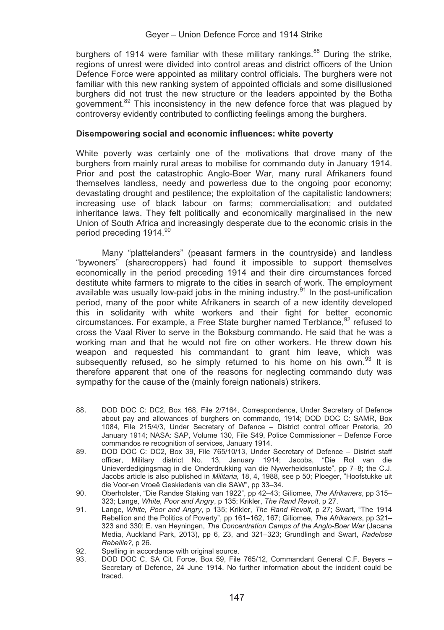burghers of 1914 were familiar with these military rankings.<sup>88</sup> During the strike, regions of unrest were divided into control areas and district officers of the Union Defence Force were appointed as military control officials. The burghers were not familiar with this new ranking system of appointed officials and some disillusioned burghers did not trust the new structure or the leaders appointed by the Botha government.<sup>89</sup> This inconsistency in the new defence force that was plagued by controversy evidently contributed to conflicting feelings among the burghers.

#### **Disempowering social and economic influences: white poverty**

White poverty was certainly one of the motivations that drove many of the burghers from mainly rural areas to mobilise for commando duty in January 1914. Prior and post the catastrophic Anglo-Boer War, many rural Afrikaners found themselves landless, needy and powerless due to the ongoing poor economy; devastating drought and pestilence; the exploitation of the capitalistic landowners; increasing use of black labour on farms; commercialisation; and outdated inheritance laws. They felt politically and economically marginalised in the new Union of South Africa and increasingly desperate due to the economic crisis in the period preceding 1914.<sup>90</sup>

Many "plattelanders" (peasant farmers in the countryside) and landless "bywoners" (sharecroppers) had found it impossible to support themselves economically in the period preceding 1914 and their dire circumstances forced destitute white farmers to migrate to the cities in search of work. The employment available was usually low-paid jobs in the mining industry.<sup>91</sup> In the post-unification period, many of the poor white Afrikaners in search of a new identity developed this in solidarity with white workers and their fight for better economic circumstances. For example, a Free State burgher named Terblance, $92$  refused to cross the Vaal River to serve in the Boksburg commando. He said that he was a working man and that he would not fire on other workers. He threw down his weapon and requested his commandant to grant him leave, which was subsequently refused, so he simply returned to his home on his own.<sup>93</sup> It is therefore apparent that one of the reasons for neglecting commando duty was sympathy for the cause of the (mainly foreign nationals) strikers.

<sup>-</sup>88. DOD DOC C: DC2, Box 168, File 2/7164, Correspondence, Under Secretary of Defence about pay and allowances of burghers on commando, 1914; DOD DOC C: SAMR, Box 1084, File 215/4/3, Under Secretary of Defence – District control officer Pretoria, 20 January 1914; NASA: SAP, Volume 130, File S49, Police Commissioner – Defence Force commandos re recognition of services, January 1914.

<sup>89.</sup> DOD DOC C: DC2, Box 39, File 765/10/13, Under Secretary of Defence – District staff officer, Military district No. 13, January 1914; Jacobs, "Die Rol van die Unieverdedigingsmag in die Onderdrukking van die Nywerheidsonluste", pp 7–8; the C.J. Jacobs article is also published in *Militaria,* 18, 4, 1988, see p 50; Ploeger, "Hoofstukke uit die Voor-en Vroeë Geskiedenis van die SAW", pp 33–34.

<sup>90.</sup> Oberholster, "Die Randse Staking van 1922", pp 42–43; Giliomee, *The Afrikaners*, pp 315– 323; Lange, *White, Poor and Angry*, p 135; Krikler, *The Rand Revolt*, p 27.

<sup>91.</sup> Lange, *White, Poor and Angry*, p 135; Krikler, *The Rand Revolt,* p 27; Swart, "The 1914 Rebellion and the Politics of Poverty", pp 161–162, 167; Giliomee, *The Afrikaners*, pp 321– 323 and 330; E. van Heyningen, *The Concentration Camps of the Anglo-Boer War* (Jacana Media, Auckland Park, 2013), pp 6, 23, and 321–323; Grundlingh and Swart, *Radelose Rebellie?*, p 26.

<sup>92.</sup> Spelling in accordance with original source.<br>93. DOD DOC C. SA Cit. Force, Box 59, File

<sup>93.</sup> DOD DOC C, SA Cit. Force, Box 59, File 765/12, Commandant General C.F. Beyers – Secretary of Defence, 24 June 1914. No further information about the incident could be traced.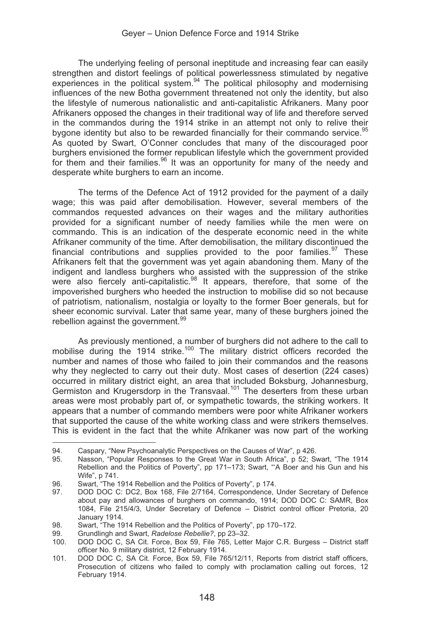The underlying feeling of personal ineptitude and increasing fear can easily strengthen and distort feelings of political powerlessness stimulated by negative experiences in the political system.<sup>94</sup> The political philosophy and modernising influences of the new Botha government threatened not only the identity, but also the lifestyle of numerous nationalistic and anti-capitalistic Afrikaners. Many poor Afrikaners opposed the changes in their traditional way of life and therefore served in the commandos during the 1914 strike in an attempt not only to relive their bygone identity but also to be rewarded financially for their commando service.<sup>95</sup> As quoted by Swart, O'Conner concludes that many of the discouraged poor burghers envisioned the former republican lifestyle which the government provided for them and their families. $96$  It was an opportunity for many of the needy and desperate white burghers to earn an income.

The terms of the Defence Act of 1912 provided for the payment of a daily wage; this was paid after demobilisation. However, several members of the commandos requested advances on their wages and the military authorities provided for a significant number of needy families while the men were on commando. This is an indication of the desperate economic need in the white Afrikaner community of the time. After demobilisation, the military discontinued the financial contributions and supplies provided to the poor families. $97$  These Afrikaners felt that the government was yet again abandoning them. Many of the indigent and landless burghers who assisted with the suppression of the strike were also fiercely anti-capitalistic.<sup>98</sup> It appears, therefore, that some of the impoverished burghers who heeded the instruction to mobilise did so not because of patriotism, nationalism, nostalgia or loyalty to the former Boer generals, but for sheer economic survival. Later that same year, many of these burghers joined the rebellion against the government.<sup>99</sup>

As previously mentioned, a number of burghers did not adhere to the call to mobilise during the 1914 strike.<sup>100</sup> The military district officers recorded the number and names of those who failed to join their commandos and the reasons why they neglected to carry out their duty. Most cases of desertion (224 cases) occurred in military district eight, an area that included Boksburg, Johannesburg, Germiston and Krugersdorp in the Transvaal.<sup>101</sup> The deserters from these urban areas were most probably part of, or sympathetic towards, the striking workers. It appears that a number of commando members were poor white Afrikaner workers that supported the cause of the white working class and were strikers themselves. This is evident in the fact that the white Afrikaner was now part of the working

 $Q\Delta$ 94. Caspary, "New Psychoanalytic Perspectives on the Causes of War", p 426.<br>95. Nasson. "Popular Responses to the Great War in South Africa", p 52: Sy

<sup>95.</sup> Nasson, "Popular Responses to the Great War in South Africa", p 52; Swart, "The 1914 Rebellion and the Politics of Poverty", pp 171–173; Swart, "'A Boer and his Gun and his Wife", p 741.

<sup>96.</sup> Swart, "The 1914 Rebellion and the Politics of Poverty", p 174.<br>97. DOD DOC C: DC2, Box 168, File 2/7164, Correspondence

DOD DOC C: DC2, Box 168, File 2/7164, Correspondence, Under Secretary of Defence about pay and allowances of burghers on commando, 1914; DOD DOC C: SAMR, Box 1084, File 215/4/3, Under Secretary of Defence – District control officer Pretoria, 20 January 1914.

<sup>98.</sup> Swart, "The 1914 Rebellion and the Politics of Poverty", pp 170–172.<br>99. Grundlingh and Swart. Radelose Rebellie?. pp 23–32.

<sup>99.</sup> Grundlingh and Swart, *Radelose Rebellie?*, pp 23–32.

<sup>100.</sup> DOD DOC C, SA Cit. Force, Box 59, File 765, Letter Major C.R. Burgess – District staff officer No. 9 military district, 12 February 1914.

<sup>101.</sup> DOD DOC C, SA Cit. Force, Box 59, File 765/12/11, Reports from district staff officers, Prosecution of citizens who failed to comply with proclamation calling out forces, 12 February 1914.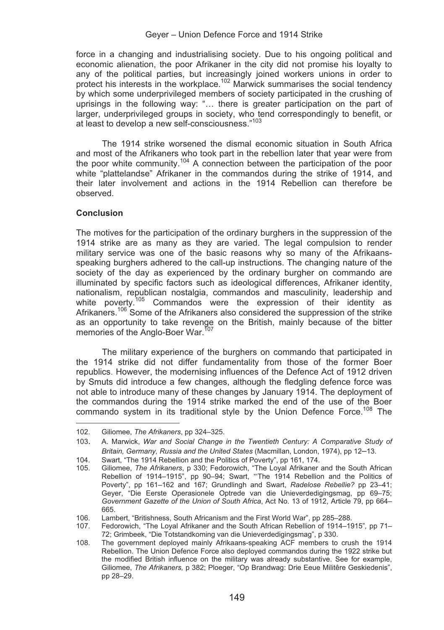#### Geyer – Union Defence Force and 1914 Strike

force in a changing and industrialising society. Due to his ongoing political and economic alienation, the poor Afrikaner in the city did not promise his loyalty to any of the political parties, but increasingly joined workers unions in order to protect his interests in the workplace.<sup>102</sup> Marwick summarises the social tendency by which some underprivileged members of society participated in the crushing of uprisings in the following way: "… there is greater participation on the part of larger, underprivileged groups in society, who tend correspondingly to benefit, or at least to develop a new self-consciousness."103

The 1914 strike worsened the dismal economic situation in South Africa and most of the Afrikaners who took part in the rebellion later that year were from the poor white community.104 A connection between the participation of the poor white "plattelandse" Afrikaner in the commandos during the strike of 1914, and their later involvement and actions in the 1914 Rebellion can therefore be observed.

#### **Conclusion**

The motives for the participation of the ordinary burghers in the suppression of the 1914 strike are as many as they are varied. The legal compulsion to render military service was one of the basic reasons why so many of the Afrikaansspeaking burghers adhered to the call-up instructions. The changing nature of the society of the day as experienced by the ordinary burgher on commando are illuminated by specific factors such as ideological differences, Afrikaner identity, nationalism, republican nostalgia, commandos and masculinity, leadership and white poverty.<sup>105</sup> Commandos were the expression of their identity as Afrikaners.<sup>106</sup> Some of the Afrikaners also considered the suppression of the strike as an opportunity to take revenge on the British, mainly because of the bitter memories of the Anglo-Boer War.<sup>107</sup>

The military experience of the burghers on commando that participated in the 1914 strike did not differ fundamentality from those of the former Boer republics. However, the modernising influences of the Defence Act of 1912 driven by Smuts did introduce a few changes, although the fledgling defence force was not able to introduce many of these changes by January 1914. The deployment of the commandos during the 1914 strike marked the end of the use of the Boer commando system in its traditional style by the Union Defence Force.<sup>108</sup> The

 $102$ 102. Giliomee, *The Afrikaners*, pp 324–325.

<sup>103.</sup> A. Marwick, *War and Social Change in the Twentieth Century: A Comparative Study of Britain, Germany, Russia and the United States* (Macmillan, London, 1974), pp 12–13.

<sup>104.</sup> Swart, "The 1914 Rebellion and the Politics of Poverty", pp 161, 174.<br>105. Giliomee. The Afrikaners. p 330: Fedorowich. "The Loval Afrikaner.

<sup>105.</sup> Giliomee, *The Afrikaners*, p 330; Fedorowich, "The Loyal Afrikaner and the South African Rebellion of 1914–1915", pp 90–94; Swart, "'The 1914 Rebellion and the Politics of Poverty", pp 161–162 and 167; Grundlingh and Swart, *Radelose Rebellie?* pp 23–41; Geyer, "Die Eerste Operasionele Optrede van die Unieverdedigingsmag, pp 69–75; *Government Gazette of the Union of South Africa*, Act No. 13 of 1912, Article 79, pp 664– 665.

<sup>106.</sup> Lambert, "Britishness, South Africanism and the First World War", pp 285–288.

<sup>107.</sup> Fedorowich, "The Loyal Afrikaner and the South African Rebellion of 1914–1915"*,* pp 71– 72; Grimbeek, "Die Totstandkoming van die Unieverdedigingsmag", p 330.

<sup>108.</sup> The government deployed mainly Afrikaans-speaking ACF members to crush the 1914 Rebellion. The Union Defence Force also deployed commandos during the 1922 strike but the modified British influence on the military was already substantive. See for example, Giliomee, *The Afrikaners,* p 382; Ploeger, "Op Brandwag: Drie Eeue Militêre Geskiedenis", pp 28–29.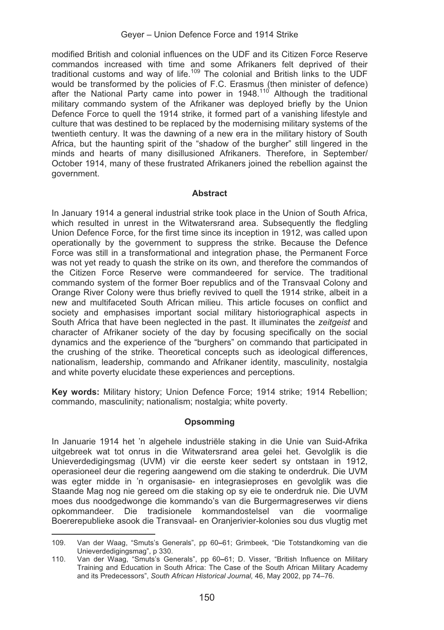modified British and colonial influences on the UDF and its Citizen Force Reserve commandos increased with time and some Afrikaners felt deprived of their traditional customs and way of life.109 The colonial and British links to the UDF would be transformed by the policies of F.C. Erasmus (then minister of defence) after the National Party came into power in 1948.<sup>110</sup> Although the traditional military commando system of the Afrikaner was deployed briefly by the Union Defence Force to quell the 1914 strike, it formed part of a vanishing lifestyle and culture that was destined to be replaced by the modernising military systems of the twentieth century. It was the dawning of a new era in the military history of South Africa, but the haunting spirit of the "shadow of the burgher" still lingered in the minds and hearts of many disillusioned Afrikaners. Therefore, in September/ October 1914, many of these frustrated Afrikaners joined the rebellion against the government.

## **Abstract**

In January 1914 a general industrial strike took place in the Union of South Africa, which resulted in unrest in the Witwatersrand area. Subsequently the fledgling Union Defence Force, for the first time since its inception in 1912, was called upon operationally by the government to suppress the strike. Because the Defence Force was still in a transformational and integration phase, the Permanent Force was not yet ready to quash the strike on its own, and therefore the commandos of the Citizen Force Reserve were commandeered for service. The traditional commando system of the former Boer republics and of the Transvaal Colony and Orange River Colony were thus briefly revived to quell the 1914 strike, albeit in a new and multifaceted South African milieu. This article focuses on conflict and society and emphasises important social military historiographical aspects in South Africa that have been neglected in the past. It illuminates the *zeitgeist* and character of Afrikaner society of the day by focusing specifically on the social dynamics and the experience of the "burghers" on commando that participated in the crushing of the strike. Theoretical concepts such as ideological differences, nationalism, leadership, commando and Afrikaner identity, masculinity, nostalgia and white poverty elucidate these experiences and perceptions.

**Key words:** Military history; Union Defence Force; 1914 strike; 1914 Rebellion; commando, masculinity; nationalism; nostalgia; white poverty.

### **Opsomming**

In Januarie 1914 het 'n algehele industriële staking in die Unie van Suid-Afrika uitgebreek wat tot onrus in die Witwatersrand area gelei het. Gevolglik is die Unieverdedigingsmag (UVM) vir die eerste keer sedert sy ontstaan in 1912, operasioneel deur die regering aangewend om die staking te onderdruk. Die UVM was egter midde in 'n organisasie- en integrasieproses en gevolglik was die Staande Mag nog nie gereed om die staking op sy eie te onderdruk nie. Die UVM moes dus noodgedwonge die kommando's van die Burgermagreserwes vir diens opkommandeer. Die tradisionele kommandostelsel van die voormalige Boererepublieke asook die Transvaal- en Oranjerivier-kolonies sou dus vlugtig met

 $109$ 109. Van der Waag, "Smuts's Generals", pp 60**–**61; Grimbeek, "Die Totstandkoming van die Unieverdedigingsmag", p 330.

<sup>110.</sup> Van der Waag, "Smuts's Generals", pp 60**–**61; D. Visser, "British Influence on Military Training and Education in South Africa: The Case of the South African Military Academy and its Predecessors", *South African Historical Journal,* 46, May 2002, pp 74–76.